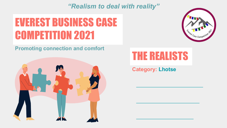*"Realism to deal with reality"*

## EVEREST BUSINESS CASE COMPETITION 2021



**Promoting connection and comfort**



### THE REALISTS

**Category: Lhotse**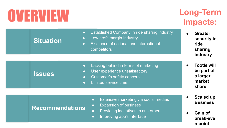# OVERVIEW

### **Long-Term Impacts:**

- **● Greater security in ride sharing industry**
- **● Tootle will be part of a larger market share**
- **● Scaled up Business**
- **● Gain of break-eve n point**
- Established Company in ride sharing industry
- Low profit margin Industry
- **Existence of national and international** competitors

### **Issues**

**Situation**

- Lacking behind in terms of marketing
- User experience unsatisfactory
- Customer's safety concern
- Limited service time

### **Recommendations**

- Extensive marketing via social medias
- Expansion of business
- Providing incentives to customers
- Improving app's interface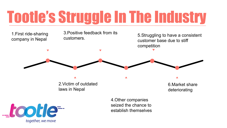# Tootle's Struggle In The Industry



together, we move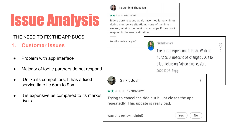#### THE NEED TO FIX THE APP BUGS

- **1. Customer Issues**
- Problem with app interface
- Majority of tootle partners do not respond
- Unlike its competitors, It has a fixed service time i.e 6am to 9pm
- It is expensive as compared to its market rivals



Kadambini Thapaliya

#### $\star \star + + 07/11/2021$

Riders don't respond at all, have tried it many times during emergency situations, none of the time it worked, what is the point of such apps if they don't respond in the needy situation.

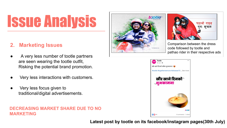### **2. Marketing Issues**

- A very less number of tootle partners are seen wearing the tootle outfit, Risking the potential brand promotion.
- Very less interactions with customers.
- Very less focus given to traditional/digital advertisements.

#### **DECREASING MARKET SHARE DUE TO NO MARKETING**





Comparison between the dress code followed by tootle and pathao rider in their respective ads



**Latest post by tootle on its facebook/instagram pages(30th July)**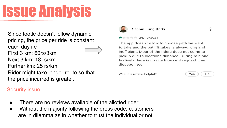Since tootle doesn't follow dynamic pricing, the price per ride is constant each day i.e First 3 km: 60rs/3km Next 3 km: 18 rs/km Further km: 25 rs/km Rider might take longer route so that the price incurred is greater.

### Security issue



#### Sachin Jung Karki

#### $* * * 26/10/2021$

The app doesn't allow to choose path we want to take and the path it takes is always long and inefficient. Most of the riders does not come to pickup due to locations distance. During rain and festivals there is no one to accept request. I am disappointed

Was this review helpful?

Yes No

 $\ddot{\bullet}$ 

- There are no reviews available of the allotted rider
- Without the majority following the dress code, customers are in dilemma as in whether to trust the individual or not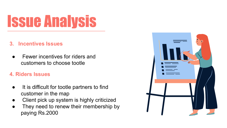### **3. Incentives Issues**

Fewer incentives for riders and customers to choose tootle

### **4. Riders Issues**

- It is difficult for tootle partners to find customer in the map
- Client pick up system is highly criticized
- They need to renew their membership by paying Rs.2000

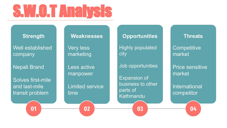# S.W.O.T Analysis

**Strength**

Well established company

Nepali Brand

Solves first-mile and last-mile transit problem

**01**

#### **Weaknesses**

**Very less** marketing

Less active manpower

Limited service time

**02**

### **Opportunities** Highly populated city

Job opportunities

Expansion of business to other parts of Kathmandu

**03**

**Threats Competitive** market

Price sensitive market

International competitor

**04**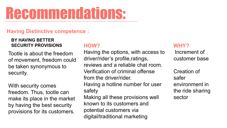# Recommendations:

### **Having Distinctive competence :**

#### **BY HAVING BETTER SECURITY PROVISIONS**

Tootle is about the freedom of movement, freedom could be taken synonymous to security.

With security comes freedom. Thus, tootle can make its place in the market by having the best security provisions for its customers.

#### **HOW?**

Having the options, with access to driver/rider's profile,ratings, reviews and a reliable chat room. Verification of criminal offense from the driver/rider. Having a hotline number for user safety Making all these provisions well known to its customers and potential customers via digital/traditional marketing

#### **WHY?**

Increment of customer base

Creation of safer environment in the ride sharing sector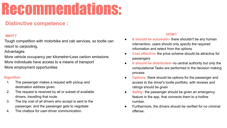## Recommendations:

### **Distinctive competence :**

#### **WHY?**

Tough competition with motorbike and cab services, so tootle can resort to carpooling.

#### Advantages

More vehicle occupancy per kilometre=Less carbon emissions More individuals have access to a means of transport More employment opportunities

#### **Algorithm**

- 1. The passenger makes a request with pickup and destination address given.
- 2. The request is received by all or subset of available drivers, travelling that route.
- 3. The trip cost of all drivers who accept is sent to the passenger, and the passenger gets to negotiate
- 4. The chatbox for user-driver communication.

#### **HOW?**

- **It should be automatic** there shouldn't be any human intervention, users should only specify the required information and select from the options
- **Cost effective** the price scheme should be attractive for passengers
- **It should be distributed** no central authority but only the computational Tasks are performed in the decision making process
- **Options-** there should be options for the passenger and access to the driver's tootle portfolio, with reviews and ratings should be given
- Safety- the passenger should be given an emergency feature in the app, that connects them to a hotline number.
- Furthermore, the drivers should be verified for no criminal offense.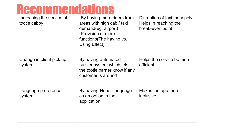## **Recommendations**

| Increasing the service of<br>tootle cabby | -By having more riders from<br>areas with high cab / taxi<br>demand(eg: airport)<br>-Provision of more<br>functions (The having vs.<br>Using Effect) | Disruption of taxi monopoly<br>Helps in reaching the<br>break-even point |
|-------------------------------------------|------------------------------------------------------------------------------------------------------------------------------------------------------|--------------------------------------------------------------------------|
| Change in client pick up<br>system        | By having automated<br>buzzer system which lets<br>the tootle parner know if any<br>customer is around                                               | Helps the service be more<br>efficient                                   |
| Language preference<br>system             | By having Nepali language<br>as an option in the<br>application                                                                                      | Makes the app more<br>inclusive                                          |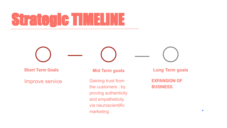# Strategic TIMELINE

**Short Term Goals**

Improve service

**Mid Term goals**

Gaining trust from the customers : by proving authenticity and empatheticity via neuroscientific marketing

**Long Term goals**

**EXPANSION OF BUSINESS.**